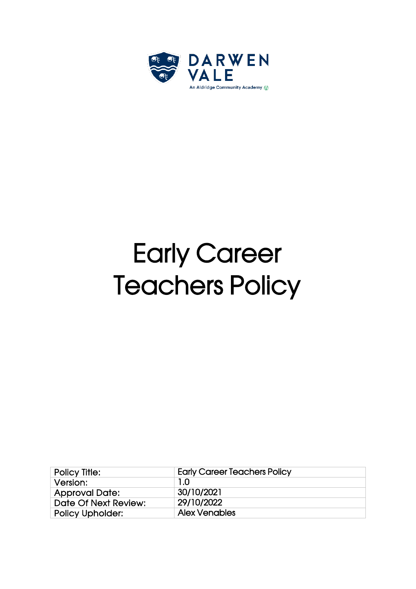

# Early Career **Teachers Policy**

| <b>Policy Title:</b>    | <b>Early Career Teachers Policy</b> |
|-------------------------|-------------------------------------|
| Version:                | 1.0                                 |
| <b>Approval Date:</b>   | 30/10/2021                          |
| Date Of Next Review:    | 29/10/2022                          |
| <b>Policy Upholder:</b> | <b>Alex Venables</b>                |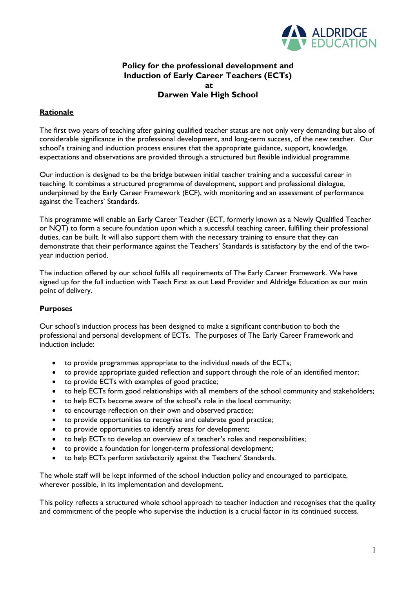

# **Policy for the professional development and Induction of Early Career Teachers (ECTs) at Darwen Vale High School**

# **Rationale**

The first two years of teaching after gaining qualified teacher status are not only very demanding but also of considerable significance in the professional development, and long-term success, of the new teacher. Our school's training and induction process ensures that the appropriate guidance, support, knowledge, expectations and observations are provided through a structured but flexible individual programme.

Our induction is designed to be the bridge between initial teacher training and a successful career in teaching. It combines a structured programme of development, support and professional dialogue, underpinned by the Early Career Framework (ECF), with monitoring and an assessment of performance against the Teachers' Standards.

This programme will enable an Early Career Teacher (ECT, formerly known as a Newly Qualified Teacher or NQT) to form a secure foundation upon which a successful teaching career, fulfilling their professional duties, can be built. It will also support them with the necessary training to ensure that they can demonstrate that their performance against the Teachers' Standards is satisfactory by the end of the twoyear induction period.

The induction offered by our school fulfils all requirements of The Early Career Framework. We have signed up for the full induction with Teach First as out Lead Provider and Aldridge Education as our main point of delivery.

## **Purposes**

Our school's induction process has been designed to make a significant contribution to both the professional and personal development of ECTs. The purposes of The Early Career Framework and induction include:

- to provide programmes appropriate to the individual needs of the ECTs;
- to provide appropriate guided reflection and support through the role of an identified mentor;
- to provide ECTs with examples of good practice;
- to help ECTs form good relationships with all members of the school community and stakeholders;
- to help ECTs become aware of the school's role in the local community;
- to encourage reflection on their own and observed practice;
- to provide opportunities to recognise and celebrate good practice;
- to provide opportunities to identify areas for development;
- to help ECTs to develop an overview of a teacher's roles and responsibilities;
- to provide a foundation for longer-term professional development;
- to help ECTs perform satisfactorily against the Teachers' Standards.

The whole staff will be kept informed of the school induction policy and encouraged to participate, wherever possible, in its implementation and development.

This policy reflects a structured whole school approach to teacher induction and recognises that the quality and commitment of the people who supervise the induction is a crucial factor in its continued success.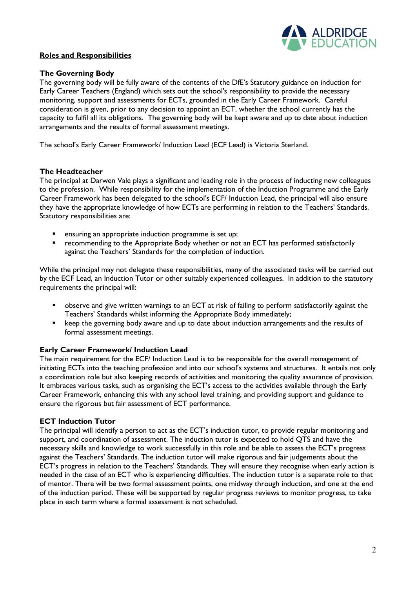

### **Roles and Responsibilities**

#### **The Governing Body**

The governing body will be fully aware of the contents of the DfE's Statutory guidance on induction for Early Career Teachers (England) which sets out the school's responsibility to provide the necessary monitoring, support and assessments for ECTs, grounded in the Early Career Framework. Careful consideration is given, prior to any decision to appoint an ECT, whether the school currently has the capacity to fulfil all its obligations. The governing body will be kept aware and up to date about induction arrangements and the results of formal assessment meetings.

The school's Early Career Framework/ Induction Lead (ECF Lead) is Victoria Sterland.

#### **The Headteacher**

The principal at Darwen Vale plays a significant and leading role in the process of inducting new colleagues to the profession. While responsibility for the implementation of the Induction Programme and the Early Career Framework has been delegated to the school's ECF/ Induction Lead, the principal will also ensure they have the appropriate knowledge of how ECTs are performing in relation to the Teachers' Standards. Statutory responsibilities are:

- ensuring an appropriate induction programme is set up;
- recommending to the Appropriate Body whether or not an ECT has performed satisfactorily against the Teachers' Standards for the completion of induction.

While the principal may not delegate these responsibilities, many of the associated tasks will be carried out by the ECF Lead, an Induction Tutor or other suitably experienced colleagues. In addition to the statutory requirements the principal will:

- observe and give written warnings to an ECT at risk of failing to perform satisfactorily against the Teachers' Standards whilst informing the Appropriate Body immediately;
- **EXECT** keep the governing body aware and up to date about induction arrangements and the results of formal assessment meetings.

## **Early Career Framework/ Induction Lead**

The main requirement for the ECF/ Induction Lead is to be responsible for the overall management of initiating ECTs into the teaching profession and into our school's systems and structures. It entails not only a coordination role but also keeping records of activities and monitoring the quality assurance of provision. It embraces various tasks, such as organising the ECT's access to the activities available through the Early Career Framework, enhancing this with any school level training, and providing support and guidance to ensure the rigorous but fair assessment of ECT performance.

#### **ECT Induction Tutor**

The principal will identify a person to act as the ECT's induction tutor, to provide regular monitoring and support, and coordination of assessment. The induction tutor is expected to hold QTS and have the necessary skills and knowledge to work successfully in this role and be able to assess the ECT's progress against the Teachers' Standards. The induction tutor will make rigorous and fair judgements about the ECT's progress in relation to the Teachers' Standards. They will ensure they recognise when early action is needed in the case of an ECT who is experiencing difficulties. The induction tutor is a separate role to that of mentor. There will be two formal assessment points, one midway through induction, and one at the end of the induction period. These will be supported by regular progress reviews to monitor progress, to take place in each term where a formal assessment is not scheduled.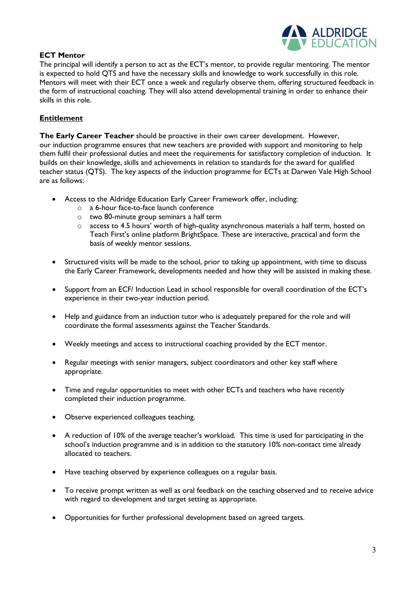

# **ECT Mentor**

The principal will identify a person to act as the ECT's mentor, to provide regular mentoring. The mentor is expected to hold QTS and have the necessary skills and knowledge to work successfully in this role. Mentors will meet with their ECT once a week and regularly observe them, offering structured feedback in the form of instructional coaching. They will also attend developmental training in order to enhance their skills in this role.

# **Entitlement**

**The Early Career Teacher** should be proactive in their own career development. However, our induction programme ensures that new teachers are provided with support and monitoring to help them fulfil their professional duties and meet the requirements for satisfactory completion of induction. It builds on their knowledge, skills and achievements in relation to standards for the award for qualified teacher status (QTS). The key aspects of the induction programme for ECTs at Darwen Vale High School are as follows:

- Access to the Aldridge Education Early Career Framework offer, including:
	- o a 6-hour face-to-face launch conference
	- o two 80-minute group seminars a half term
	- o access to 4.5 hours' worth of high-quality asynchronous materials a half term, hosted on Teach First's online platform BrightSpace. These are interactive, practical and form the basis of weekly mentor sessions.
- Structured visits will be made to the school, prior to taking up appointment, with time to discuss the Early Career Framework, developments needed and how they will be assisted in making these.
- Support from an ECF/ Induction Lead in school responsible for overall coordination of the ECT's experience in their two-year induction period.
- Help and guidance from an induction tutor who is adequately prepared for the role and will coordinate the formal assessments against the Teacher Standards.
- Weekly meetings and access to instructional coaching provided by the ECT mentor.
- Regular meetings with senior managers, subject coordinators and other key staff where appropriate.
- Time and regular opportunities to meet with other ECTs and teachers who have recently completed their induction programme.
- Observe experienced colleagues teaching.
- A reduction of 10% of the average teacher's workload. This time is used for participating in the school's induction programme and is in addition to the statutory 10% non-contact time already allocated to teachers.
- Have teaching observed by experience colleagues on a regular basis.
- To receive prompt written as well as oral feedback on the teaching observed and to receive advice with regard to development and target setting as appropriate.
- Opportunities for further professional development based on agreed targets.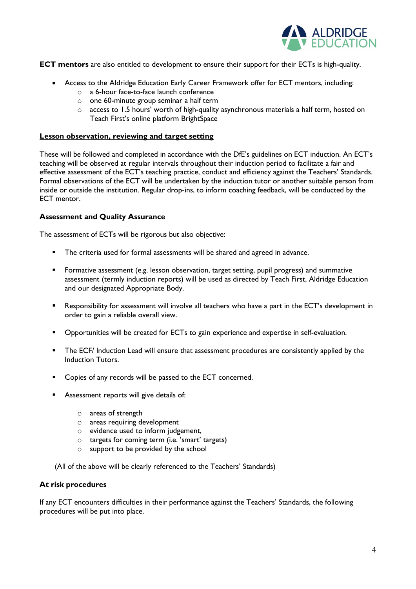

**ECT mentors** are also entitled to development to ensure their support for their ECTs is high-quality.

- Access to the Aldridge Education Early Career Framework offer for ECT mentors, including:
	- o a 6-hour face-to-face launch conference
	- o one 60-minute group seminar a half term
	- o access to 1.5 hours' worth of high-quality asynchronous materials a half term, hosted on Teach First's online platform BrightSpace

#### **Lesson observation, reviewing and target setting**

These will be followed and completed in accordance with the DfE's guidelines on ECT induction. An ECT's teaching will be observed at regular intervals throughout their induction period to facilitate a fair and effective assessment of the ECT's teaching practice, conduct and efficiency against the Teachers' Standards. Formal observations of the ECT will be undertaken by the induction tutor or another suitable person from inside or outside the institution. Regular drop-ins, to inform coaching feedback, will be conducted by the ECT mentor.

## **Assessment and Quality Assurance**

The assessment of ECTs will be rigorous but also objective:

- **The criteria used for formal assessments will be shared and agreed in advance.**
- Formative assessment (e.g. lesson observation, target setting, pupil progress) and summative assessment (termly induction reports) will be used as directed by Teach First, Aldridge Education and our designated Appropriate Body.
- Responsibility for assessment will involve all teachers who have a part in the ECT's development in order to gain a reliable overall view.
- Opportunities will be created for ECTs to gain experience and expertise in self-evaluation.
- **The ECF/ Induction Lead will ensure that assessment procedures are consistently applied by the** Induction Tutors.
- **•** Copies of any records will be passed to the ECT concerned.
- Assessment reports will give details of:
	- o areas of strength
	- o areas requiring development
	- o evidence used to inform judgement,
	- o targets for coming term (i.e. 'smart' targets)
	- o support to be provided by the school

(All of the above will be clearly referenced to the Teachers' Standards)

#### **At risk procedures**

If any ECT encounters difficulties in their performance against the Teachers' Standards, the following procedures will be put into place.